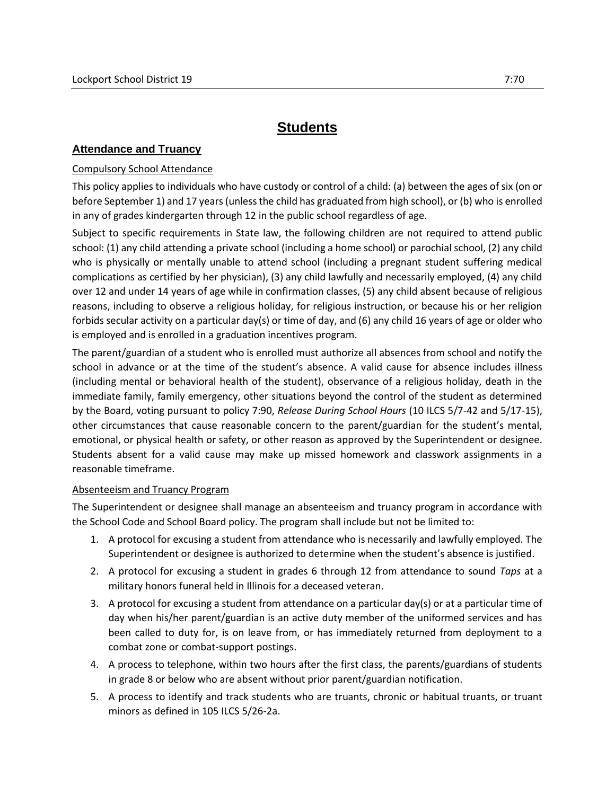## **Students**

## **Attendance and Truancy**

## Compulsory School Attendance

This policy applies to individuals who have custody or control of a child: (a) between the ages of six (on or before September 1) and 17 years (unless the child has graduated from high school), or (b) who is enrolled in any of grades kindergarten through 12 in the public school regardless of age.

Subject to specific requirements in State law, the following children are not required to attend public school: (1) any child attending a private school (including a home school) or parochial school, (2) any child who is physically or mentally unable to attend school (including a pregnant student suffering medical complications as certified by her physician), (3) any child lawfully and necessarily employed, (4) any child over 12 and under 14 years of age while in confirmation classes, (5) any child absent because of religious reasons, including to observe a religious holiday, for religious instruction, or because his or her religion forbids secular activity on a particular day(s) or time of day, and (6) any child 16 years of age or older who is employed and is enrolled in a graduation incentives program.

The parent/guardian of a student who is enrolled must authorize all absences from school and notify the school in advance or at the time of the student's absence. A valid cause for absence includes illness (including mental or behavioral health of the student), observance of a religious holiday, death in the immediate family, family emergency, other situations beyond the control of the student as determined by the Board, voting pursuant to policy 7:90, *Release During School Hours* (10 ILCS 5/7-42 and 5/17-15), other circumstances that cause reasonable concern to the parent/guardian for the student's mental, emotional, or physical health or safety, or other reason as approved by the Superintendent or designee. Students absent for a valid cause may make up missed homework and classwork assignments in a reasonable timeframe.

## Absenteeism and Truancy Program

The Superintendent or designee shall manage an absenteeism and truancy program in accordance with the School Code and School Board policy. The program shall include but not be limited to:

- 1. A protocol for excusing a student from attendance who is necessarily and lawfully employed. The Superintendent or designee is authorized to determine when the student's absence is justified.
- 2. A protocol for excusing a student in grades 6 through 12 from attendance to sound *Taps* at a military honors funeral held in Illinois for a deceased veteran.
- 3. A protocol for excusing a student from attendance on a particular day(s) or at a particular time of day when his/her parent/guardian is an active duty member of the uniformed services and has been called to duty for, is on leave from, or has immediately returned from deployment to a combat zone or combat-support postings.
- 4. A process to telephone, within two hours after the first class, the parents/guardians of students in grade 8 or below who are absent without prior parent/guardian notification.
- 5. A process to identify and track students who are truants, chronic or habitual truants, or truant minors as defined in 105 ILCS 5/26-2a.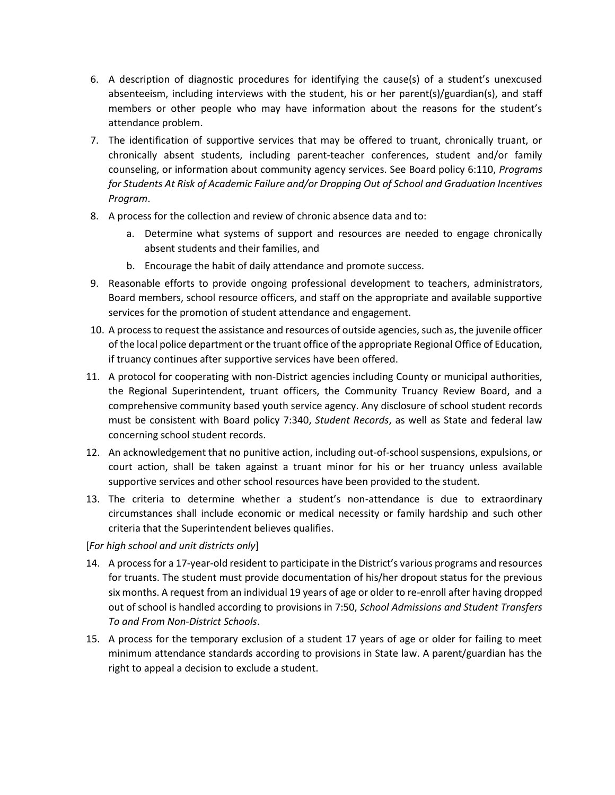- 6. A description of diagnostic procedures for identifying the cause(s) of a student's unexcused absenteeism, including interviews with the student, his or her parent(s)/guardian(s), and staff members or other people who may have information about the reasons for the student's attendance problem.
- 7. The identification of supportive services that may be offered to truant, chronically truant, or chronically absent students, including parent-teacher conferences, student and/or family counseling, or information about community agency services. See Board policy 6:110, *Programs for Students At Risk of Academic Failure and/or Dropping Out of School and Graduation Incentives Program*.
- 8. A process for the collection and review of chronic absence data and to:
	- a. Determine what systems of support and resources are needed to engage chronically absent students and their families, and
	- b. Encourage the habit of daily attendance and promote success.
- 9. Reasonable efforts to provide ongoing professional development to teachers, administrators, Board members, school resource officers, and staff on the appropriate and available supportive services for the promotion of student attendance and engagement.
- 10. A process to request the assistance and resources of outside agencies, such as, the juvenile officer of the local police department or the truant office of the appropriate Regional Office of Education, if truancy continues after supportive services have been offered.
- 11. A protocol for cooperating with non-District agencies including County or municipal authorities, the Regional Superintendent, truant officers, the Community Truancy Review Board, and a comprehensive community based youth service agency. Any disclosure of school student records must be consistent with Board policy 7:340, *Student Records*, as well as State and federal law concerning school student records.
- 12. An acknowledgement that no punitive action, including out-of-school suspensions, expulsions, or court action, shall be taken against a truant minor for his or her truancy unless available supportive services and other school resources have been provided to the student.
- 13. The criteria to determine whether a student's non-attendance is due to extraordinary circumstances shall include economic or medical necessity or family hardship and such other criteria that the Superintendent believes qualifies.

[*For high school and unit districts only*]

- 14. A process for a 17-year-old resident to participate in the District's various programs and resources for truants. The student must provide documentation of his/her dropout status for the previous six months. A request from an individual 19 years of age or older to re-enroll after having dropped out of school is handled according to provisions in 7:50, *School Admissions and Student Transfers To and From Non-District Schools*.
- 15. A process for the temporary exclusion of a student 17 years of age or older for failing to meet minimum attendance standards according to provisions in State law. A parent/guardian has the right to appeal a decision to exclude a student.